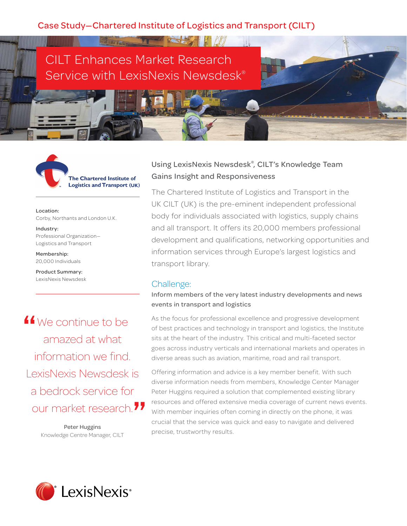**FOR THE CONTRACT OF A REAL PROPERTY** 

# CILT Enhances Market Research Service with LexisNexis Newsdesk®



Location: Corby, Northants and London U.K.

Industry: Professional Organization— Logistics and Transport

Membership: 20,000 Individuals

Product Summary: LexisNexis Newsdesk

If we continue to be amazed at what amazed at what information we find. LexisNexis Newsdesk is a bedrock service for our market research. **"**

Peter Huggins Knowledge Centre Manager, CILT

## Using LexisNexis Newsdesk® , CILT's Knowledge Team Gains Insight and Responsiveness

The Chartered Institute of Logistics and Transport in the UK CILT (UK) is the pre-eminent independent professional body for individuals associated with logistics, supply chains and all transport. It offers its 20,000 members professional development and qualifications, networking opportunities and information services through Europe's largest logistics and transport library.

## Challenge:

#### Inform members of the very latest industry developments and news events in transport and logistics

As the focus for professional excellence and progressive development of best practices and technology in transport and logistics, the Institute sits at the heart of the industry. This critical and multi-faceted sector goes across industry verticals and international markets and operates in diverse areas such as aviation, maritime, road and rail transport.

Offering information and advice is a key member benefit. With such diverse information needs from members, Knowledge Center Manager Peter Huggins required a solution that complemented existing library resources and offered extensive media coverage of current news events. With member inquiries often coming in directly on the phone, it was crucial that the service was quick and easy to navigate and delivered precise, trustworthy results.